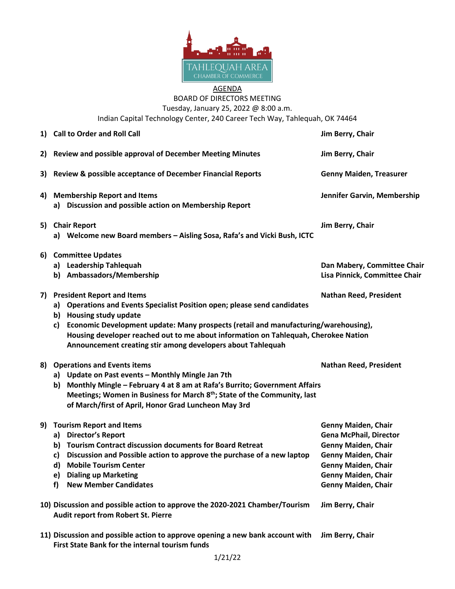

## AGENDA BOARD OF DIRECTORS MEETING

Tuesday, January 25, 2022 @ 8:00 a.m. Indian Capital Technology Center, 240 Career Tech Way, Tahlequah, OK 74464

|    | 1) Call to Order and Roll Call                                                                                                                                                                                                                                                                                                                                                               | Jim Berry, Chair                                                                                                                                                                                           |
|----|----------------------------------------------------------------------------------------------------------------------------------------------------------------------------------------------------------------------------------------------------------------------------------------------------------------------------------------------------------------------------------------------|------------------------------------------------------------------------------------------------------------------------------------------------------------------------------------------------------------|
| 2) | Review and possible approval of December Meeting Minutes                                                                                                                                                                                                                                                                                                                                     | Jim Berry, Chair                                                                                                                                                                                           |
| 3) | Review & possible acceptance of December Financial Reports                                                                                                                                                                                                                                                                                                                                   | <b>Genny Maiden, Treasurer</b>                                                                                                                                                                             |
| 4) | <b>Membership Report and Items</b><br>a) Discussion and possible action on Membership Report                                                                                                                                                                                                                                                                                                 | Jennifer Garvin, Membership                                                                                                                                                                                |
| 5) | <b>Chair Report</b><br>a) Welcome new Board members - Aisling Sosa, Rafa's and Vicki Bush, ICTC                                                                                                                                                                                                                                                                                              | Jim Berry, Chair                                                                                                                                                                                           |
| 6) | <b>Committee Updates</b><br>a) Leadership Tahlequah<br>b) Ambassadors/Membership                                                                                                                                                                                                                                                                                                             | Dan Mabery, Committee Chair<br>Lisa Pinnick, Committee Chair                                                                                                                                               |
| 7) | <b>President Report and Items</b><br>a) Operations and Events Specialist Position open; please send candidates<br>b) Housing study update<br>Economic Development update: Many prospects (retail and manufacturing/warehousing),<br>c)<br>Housing developer reached out to me about information on Tahlequah, Cherokee Nation<br>Announcement creating stir among developers about Tahlequah | <b>Nathan Reed, President</b>                                                                                                                                                                              |
| 8) | <b>Operations and Events items</b><br>a) Update on Past events - Monthly Mingle Jan 7th<br>b) Monthly Mingle - February 4 at 8 am at Rafa's Burrito; Government Affairs<br>Meetings; Women in Business for March 8 <sup>th</sup> ; State of the Community, last<br>of March/first of April, Honor Grad Luncheon May 3rd                                                                      | <b>Nathan Reed, President</b>                                                                                                                                                                              |
| 9) | <b>Tourism Report and Items</b><br>a) Director's Report<br>b) Tourism Contract discussion documents for Board Retreat<br>Discussion and Possible action to approve the purchase of a new laptop<br>c)<br>d)<br><b>Mobile Tourism Center</b><br><b>Dialing up Marketing</b><br>e)<br><b>New Member Candidates</b><br>f)                                                                       | <b>Genny Maiden, Chair</b><br><b>Gena McPhail, Director</b><br><b>Genny Maiden, Chair</b><br><b>Genny Maiden, Chair</b><br><b>Genny Maiden, Chair</b><br>Genny Maiden, Chair<br><b>Genny Maiden, Chair</b> |
|    | 10) Discussion and possible action to approve the 2020-2021 Chamber/Tourism<br>Audit report from Robert St. Pierre                                                                                                                                                                                                                                                                           | Jim Berry, Chair                                                                                                                                                                                           |
|    | 11) Discussion and possible action to approve opening a new bank account with<br><b>First State Bank for the internal tourism funds</b>                                                                                                                                                                                                                                                      | Jim Berry, Chair                                                                                                                                                                                           |